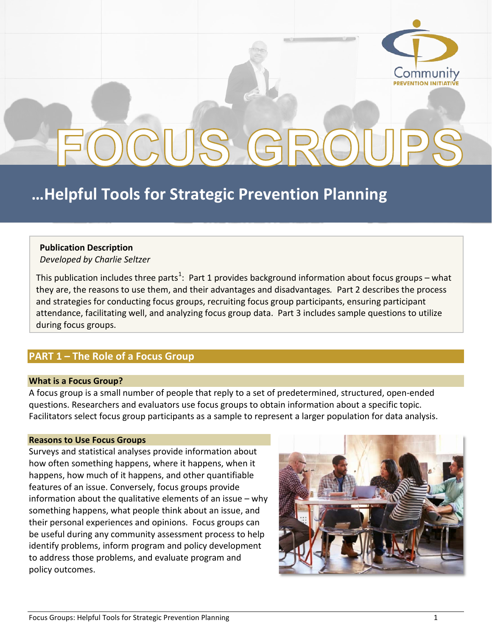

# OCUS G

## **…Helpful Tools for Strategic Prevention Planning**

#### **Publication Description**

*Developed by Charlie Seltzer*

This publication includes three parts<sup>[1](#page-11-0)</sup>: Part 1 provides background information about focus groups – what they are, the reasons to use them, and their advantages and disadvantages*.* Part 2 describes the process and strategies for conducting focus groups, recruiting focus group participants, ensuring participant attendance, facilitating well, and analyzing focus group data. Part 3 includes sample questions to utilize during focus groups.

#### **PART 1 – The Role of a Focus Group**

#### **What is a Focus Group?**

A focus group is a small number of people that reply to a set of predetermined, structured, open-ended questions. Researchers and evaluators use focus groups to obtain information about a specific topic. Facilitators select focus group participants as a sample to represent a larger population for data analysis.

#### **Reasons to Use Focus Groups**

Surveys and statistical analyses provide information about how often something happens, where it happens, when it happens, how much of it happens, and other quantifiable features of an issue. Conversely, focus groups provide information about the qualitative elements of an issue – why something happens, what people think about an issue, and their personal experiences and opinions. Focus groups can be useful during any community assessment process to help identify problems, inform program and policy development to address those problems, and evaluate program and policy outcomes.

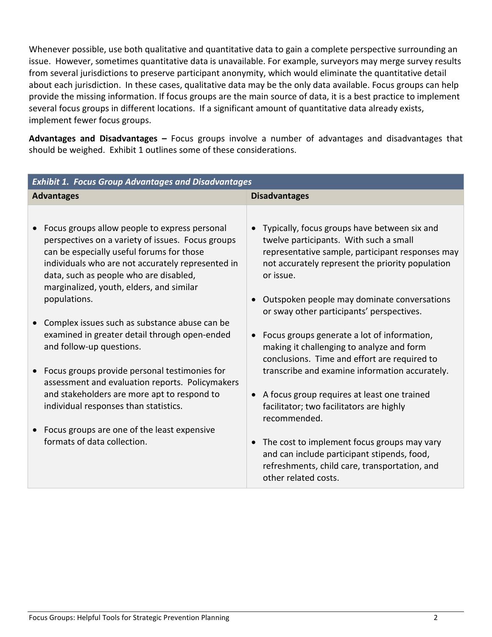Whenever possible, use both qualitative and quantitative data to gain a complete perspective surrounding an issue. However, sometimes quantitative data is unavailable. For example, surveyors may merge survey results from several jurisdictions to preserve participant anonymity, which would eliminate the quantitative detail about each jurisdiction. In these cases, qualitative data may be the only data available. Focus groups can help provide the missing information. If focus groups are the main source of data, it is a best practice to implement several focus groups in different locations. If a significant amount of quantitative data already exists, implement fewer focus groups.

**Advantages and Disadvantages –** Focus groups involve a number of advantages and disadvantages that should be weighed. Exhibit 1 outlines some of these considerations.

| <b>Disadvantages</b>                                                                                                                                                                                                                                                                                                                                                                                                                                                                                                                                                                                                                                                                                                                                                                    |
|-----------------------------------------------------------------------------------------------------------------------------------------------------------------------------------------------------------------------------------------------------------------------------------------------------------------------------------------------------------------------------------------------------------------------------------------------------------------------------------------------------------------------------------------------------------------------------------------------------------------------------------------------------------------------------------------------------------------------------------------------------------------------------------------|
|                                                                                                                                                                                                                                                                                                                                                                                                                                                                                                                                                                                                                                                                                                                                                                                         |
| Typically, focus groups have between six and<br>twelve participants. With such a small<br>representative sample, participant responses may<br>not accurately represent the priority population<br>or issue.<br>Outspoken people may dominate conversations<br>or sway other participants' perspectives.<br>Focus groups generate a lot of information,<br>making it challenging to analyze and form<br>conclusions. Time and effort are required to<br>transcribe and examine information accurately.<br>A focus group requires at least one trained<br>facilitator; two facilitators are highly<br>recommended.<br>The cost to implement focus groups may vary<br>and can include participant stipends, food,<br>refreshments, child care, transportation, and<br>other related costs. |
|                                                                                                                                                                                                                                                                                                                                                                                                                                                                                                                                                                                                                                                                                                                                                                                         |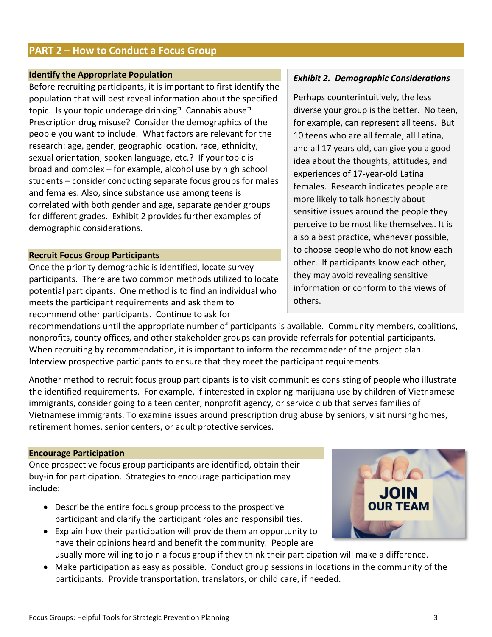• Make participation as easy as possible. Conduct group sessions in locations in the community of the participants. Provide transportation, translators, or child care, if needed.

#### **PART 2 – How to Conduct a Focus Group**

#### **Identify the Appropriate Population**

Before recruiting participants, it is important to first identify the population that will best reveal information about the specified topic. Is your topic underage drinking? Cannabis abuse? Prescription drug misuse? Consider the demographics of the people you want to include. What factors are relevant for the research: age, gender, geographic location, race, ethnicity, sexual orientation, spoken language, etc.? If your topic is broad and complex – for example, alcohol use by high school students – consider conducting separate focus groups for males and females. Also, since substance use among teens is correlated with both gender and age, separate gender groups for different grades. Exhibit 2 provides further examples of demographic considerations.

#### **Recruit Focus Group Participants**

Once the priority demographic is identified, locate survey participants. There are two common methods utilized to locate potential participants. One method is to find an individual who meets the participant requirements and ask them to recommend other participants. Continue to ask for

recommendations until the appropriate number of participants is available. Community members, coalitions, nonprofits, county offices, and other stakeholder groups can provide referrals for potential participants. When recruiting by recommendation, it is important to inform the recommender of the project plan. Interview prospective participants to ensure that they meet the participant requirements.

Another method to recruit focus group participants is to visit communities consisting of people who illustrate the identified requirements. For example, if interested in exploring marijuana use by children of Vietnamese immigrants, consider going to a teen center, nonprofit agency, or service club that serves families of Vietnamese immigrants. To examine issues around prescription drug abuse by seniors, visit nursing homes, retirement homes, senior centers, or adult protective services.

#### **Encourage Participation**

Once prospective focus group participants are identified, obtain their buy-in for participation. Strategies to encourage participation may include:

- Describe the entire focus group process to the prospective participant and clarify the participant roles and responsibilities.
- Explain how their participation will provide them an opportunity to have their opinions heard and benefit the community. People are usually more willing to join a focus group if they think their participation will make a difference.
	-

#### *Exhibit 2. Demographic Considerations*

Perhaps counterintuitively, the less diverse your group is the better. No teen, for example, can represent all teens. But 10 teens who are all female, all Latina, and all 17 years old, can give you a good idea about the thoughts, attitudes, and experiences of 17-year-old Latina females. Research indicates people are more likely to talk honestly about sensitive issues around the people they perceive to be most like themselves. It is also a best practice, whenever possible, to choose people who do not know each other. If participants know each other, they may avoid revealing sensitive information or conform to the views of others.

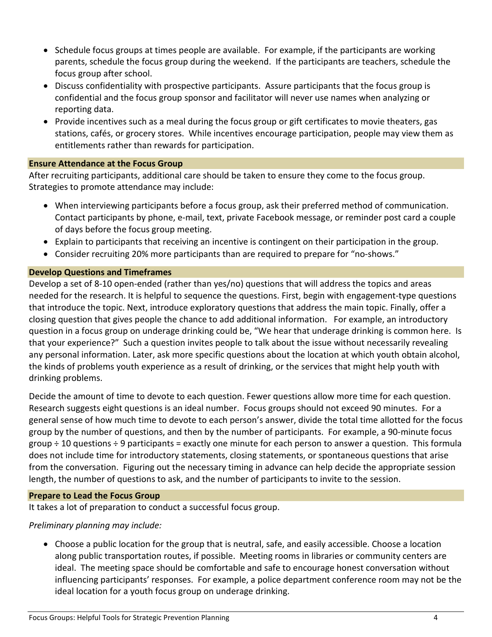- Schedule focus groups at times people are available. For example, if the participants are working parents, schedule the focus group during the weekend. If the participants are teachers, schedule the focus group after school.
- Discuss confidentiality with prospective participants. Assure participants that the focus group is confidential and the focus group sponsor and facilitator will never use names when analyzing or reporting data.
- Provide incentives such as a meal during the focus group or gift certificates to movie theaters, gas stations, cafés, or grocery stores. While incentives encourage participation, people may view them as entitlements rather than rewards for participation.

#### **Ensure Attendance at the Focus Group**

After recruiting participants, additional care should be taken to ensure they come to the focus group. Strategies to promote attendance may include:

- When interviewing participants before a focus group, ask their preferred method of communication. Contact participants by phone, e-mail, text, private Facebook message, or reminder post card a couple of days before the focus group meeting.
- Explain to participants that receiving an incentive is contingent on their participation in the group.
- Consider recruiting 20% more participants than are required to prepare for "no-shows."

#### **Develop Questions and Timeframes**

Develop a set of 8-10 open-ended (rather than yes/no) questions that will address the topics and areas needed for the research. It is helpful to sequence the questions. First, begin with engagement-type questions that introduce the topic. Next, introduce exploratory questions that address the main topic. Finally, offer a closing question that gives people the chance to add additional information. For example, an introductory question in a focus group on underage drinking could be, "We hear that underage drinking is common here. Is that your experience?" Such a question invites people to talk about the issue without necessarily revealing any personal information. Later, ask more specific questions about the location at which youth obtain alcohol, the kinds of problems youth experience as a result of drinking, or the services that might help youth with drinking problems.

Decide the amount of time to devote to each question. Fewer questions allow more time for each question. Research suggests eight questions is an ideal number. Focus groups should not exceed 90 minutes. For a general sense of how much time to devote to each person's answer, divide the total time allotted for the focus group by the number of questions, and then by the number of participants. For example, a 90-minute focus group ÷ 10 questions ÷ 9 participants = exactly one minute for each person to answer a question. This formula does not include time for introductory statements, closing statements, or spontaneous questions that arise from the conversation. Figuring out the necessary timing in advance can help decide the appropriate session length, the number of questions to ask, and the number of participants to invite to the session.

#### **Prepare to Lead the Focus Group**

It takes a lot of preparation to conduct a successful focus group.

#### *Preliminary planning may include:*

• Choose a public location for the group that is neutral, safe, and easily accessible. Choose a location along public transportation routes, if possible. Meeting rooms in libraries or community centers are ideal. The meeting space should be comfortable and safe to encourage honest conversation without influencing participants' responses. For example, a police department conference room may not be the ideal location for a youth focus group on underage drinking.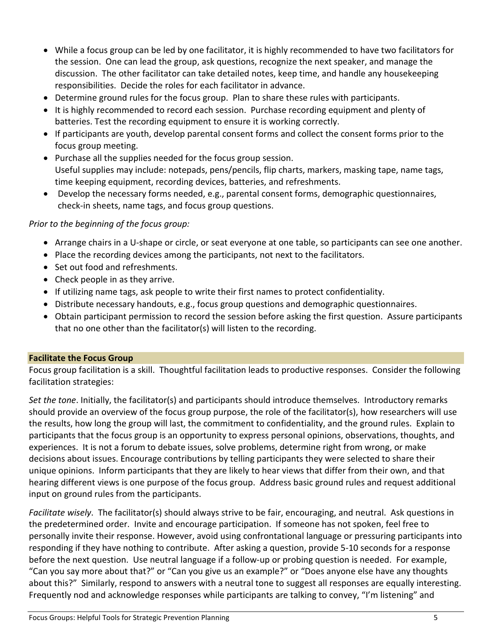- While a focus group can be led by one facilitator, it is highly recommended to have two facilitators for the session. One can lead the group, ask questions, recognize the next speaker, and manage the discussion. The other facilitator can take detailed notes, keep time, and handle any housekeeping responsibilities. Decide the roles for each facilitator in advance.
- Determine ground rules for the focus group. Plan to share these rules with participants.
- It is highly recommended to record each session. Purchase recording equipment and plenty of batteries. Test the recording equipment to ensure it is working correctly.
- If participants are youth, develop parental consent forms and collect the consent forms prior to the focus group meeting.
- Purchase all the supplies needed for the focus group session. Useful supplies may include: notepads, pens/pencils, flip charts, markers, masking tape, name tags, time keeping equipment, recording devices, batteries, and refreshments.
- Develop the necessary forms needed, e.g., parental consent forms, demographic questionnaires, check-in sheets, name tags, and focus group questions.

#### *Prior to the beginning of the focus group:*

- Arrange chairs in a U-shape or circle, or seat everyone at one table, so participants can see one another.
- Place the recording devices among the participants, not next to the facilitators.
- Set out food and refreshments.
- Check people in as they arrive.
- If utilizing name tags, ask people to write their first names to protect confidentiality.
- Distribute necessary handouts, e.g., focus group questions and demographic questionnaires.
- Obtain participant permission to record the session before asking the first question. Assure participants that no one other than the facilitator(s) will listen to the recording.

#### **Facilitate the Focus Group**

Focus group facilitation is a skill. Thoughtful facilitation leads to productive responses. Consider the following facilitation strategies:

*Set the tone*. Initially, the facilitator(s) and participants should introduce themselves. Introductory remarks should provide an overview of the focus group purpose, the role of the facilitator(s), how researchers will use the results, how long the group will last, the commitment to confidentiality, and the ground rules. Explain to participants that the focus group is an opportunity to express personal opinions, observations, thoughts, and experiences. It is not a forum to debate issues, solve problems, determine right from wrong, or make decisions about issues. Encourage contributions by telling participants they were selected to share their unique opinions. Inform participants that they are likely to hear views that differ from their own, and that hearing different views is one purpose of the focus group. Address basic ground rules and request additional input on ground rules from the participants.

*Facilitate wisely*. The facilitator(s) should always strive to be fair, encouraging, and neutral. Ask questions in the predetermined order. Invite and encourage participation. If someone has not spoken, feel free to personally invite their response. However, avoid using confrontational language or pressuring participants into responding if they have nothing to contribute. After asking a question, provide 5-10 seconds for a response before the next question. Use neutral language if a follow-up or probing question is needed. For example, "Can you say more about that?" or "Can you give us an example?" or "Does anyone else have any thoughts about this?" Similarly, respond to answers with a neutral tone to suggest all responses are equally interesting. Frequently nod and acknowledge responses while participants are talking to convey, "I'm listening" and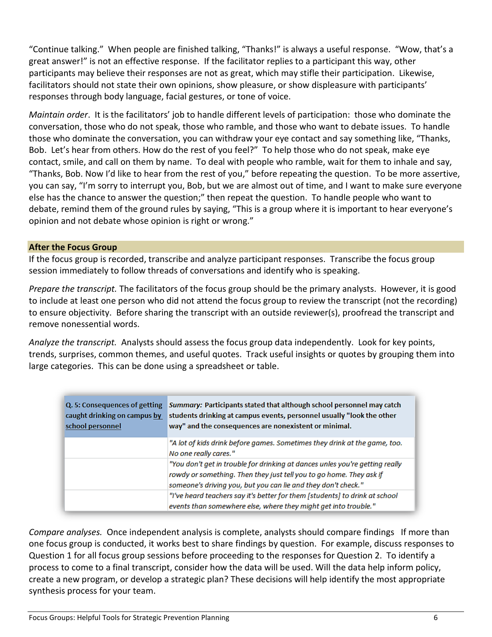"Continue talking." When people are finished talking, "Thanks!" is always a useful response. "Wow, that's a great answer!" is not an effective response. If the facilitator replies to a participant this way, other participants may believe their responses are not as great, which may stifle their participation. Likewise, facilitators should not state their own opinions, show pleasure, or show displeasure with participants' responses through body language, facial gestures, or tone of voice.

*Maintain order*. It is the facilitators' job to handle different levels of participation: those who dominate the conversation, those who do not speak, those who ramble, and those who want to debate issues. To handle those who dominate the conversation, you can withdraw your eye contact and say something like, "Thanks, Bob. Let's hear from others. How do the rest of you feel?" To help those who do not speak, make eye contact, smile, and call on them by name. To deal with people who ramble, wait for them to inhale and say, "Thanks, Bob. Now I'd like to hear from the rest of you," before repeating the question. To be more assertive, you can say, "I'm sorry to interrupt you, Bob, but we are almost out of time, and I want to make sure everyone else has the chance to answer the question;" then repeat the question. To handle people who want to debate, remind them of the ground rules by saying, "This is a group where it is important to hear everyone's opinion and not debate whose opinion is right or wrong."

#### **After the Focus Group**

If the focus group is recorded, transcribe and analyze participant responses. Transcribe the focus group session immediately to follow threads of conversations and identify who is speaking.

*Prepare the transcript.* The facilitators of the focus group should be the primary analysts. However, it is good to include at least one person who did not attend the focus group to review the transcript (not the recording) to ensure objectivity. Before sharing the transcript with an outside reviewer(s), proofread the transcript and remove nonessential words.

*Analyze the transcript.* Analysts should assess the focus group data independently. Look for key points, trends, surprises, common themes, and useful quotes. Track useful insights or quotes by grouping them into large categories. This can be done using a spreadsheet or table.

| Q. 5: Consequences of getting<br>caught drinking on campus by<br>school personnel | Summary: Participants stated that although school personnel may catch<br>students drinking at campus events, personnel usually "look the other<br>way" and the consequences are nonexistent or minimal.              |
|-----------------------------------------------------------------------------------|----------------------------------------------------------------------------------------------------------------------------------------------------------------------------------------------------------------------|
|                                                                                   | "A lot of kids drink before games. Sometimes they drink at the game, too.<br>No one really cares."                                                                                                                   |
|                                                                                   | "You don't get in trouble for drinking at dances unles you're getting really<br>rowdy or something. Then they just tell you to go home. They ask if<br>someone's driving you, but you can lie and they don't check." |
|                                                                                   | "I've heard teachers say it's better for them [students] to drink at school<br>events than somewhere else, where they might get into trouble."                                                                       |

*Compare analyses.* Once independent analysis is complete, analysts should compare findings If more than one focus group is conducted, it works best to share findings by question. For example, discuss responses to Question 1 for all focus group sessions before proceeding to the responses for Question 2. To identify a process to come to a final transcript, consider how the data will be used. Will the data help inform policy, create a new program, or develop a strategic plan? These decisions will help identify the most appropriate synthesis process for your team.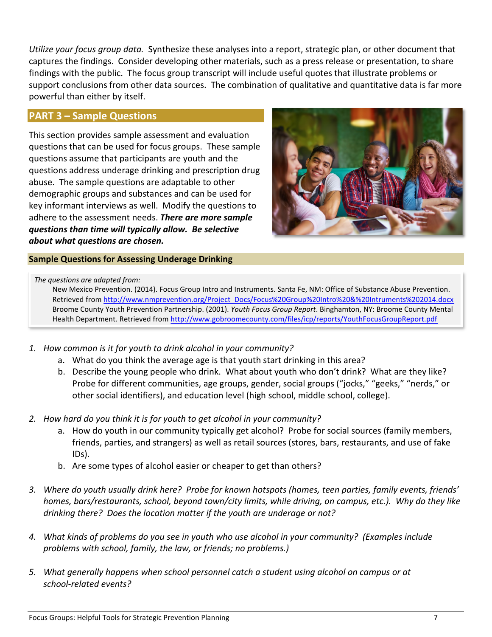*Utilize your focus group data.* Synthesize these analyses into a report, strategic plan, or other document that captures the findings. Consider developing other materials, such as a press release or presentation, to share findings with the public. The focus group transcript will include useful quotes that illustrate problems or support conclusions from other data sources. The combination of qualitative and quantitative data is far more powerful than either by itself.

#### **PART 3 – Sample Questions**

This section provides sample assessment and evaluation questions that can be used for focus groups. These sample questions assume that participants are youth and the questions address underage drinking and prescription drug abuse. The sample questions are adaptable to other demographic groups and substances and can be used for key informant interviews as well. Modify the questions to adhere to the assessment needs. *There are more sample questions than time will typically allow. Be selective about what questions are chosen.*



#### **Sample Questions for Assessing Underage Drinking**

*The questions are adapted from:* 

New Mexico Prevention. (2014). Focus Group Intro and Instruments. Santa Fe, NM: Office of Substance Abuse Prevention. Retrieved from [http://www.nmprevention.org/Project\\_Docs/Focus%20Group%20Intro%20&%20Intruments%202014.docx](http://www.nmprevention.org/Project_Docs/Focus%20Group%20Intro%20&%20Intruments%202014.docx) Broome County Youth Prevention Partnership. (2001). *Youth Focus Group Report*. Binghamton, NY: Broome County Mental Health Department. Retrieved fro[m http://www.gobroomecounty.com/files/icp/reports/YouthFocusGroupReport.pdf](http://www.gobroomecounty.com/files/icp/reports/YouthFocusGroupReport.pdf)

- *1. How common is it for youth to drink alcohol in your community?* 
	- a. What do you think the average age is that youth start drinking in this area?
	- b. Describe the young people who drink. What about youth who don't drink? What are they like? Probe for different communities, age groups, gender, social groups ("jocks," "geeks," "nerds," or other social identifiers), and education level (high school, middle school, college).
- *2. How hard do you think it is for youth to get alcohol in your community?* 
	- a. How do youth in our community typically get alcohol? Probe for social sources (family members, friends, parties, and strangers) as well as retail sources (stores, bars, restaurants, and use of fake IDs).
	- b. Are some types of alcohol easier or cheaper to get than others?
- *3. Where do youth usually drink here? Probe for known hotspots (homes, teen parties, family events, friends' homes, bars/restaurants, school, beyond town/city limits, while driving, on campus, etc.). Why do they like drinking there? Does the location matter if the youth are underage or not?*
- *4. What kinds of problems do you see in youth who use alcohol in your community? (Examples include problems with school, family, the law, or friends; no problems.)*
- *5. What generally happens when school personnel catch a student using alcohol on campus or at school-related events?*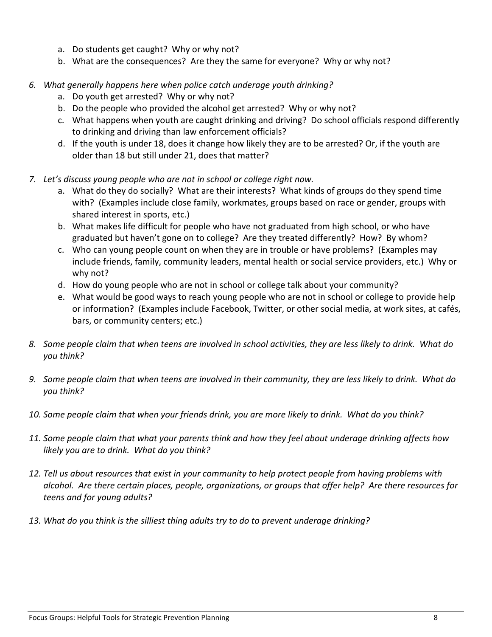- a. Do students get caught? Why or why not?
- b. What are the consequences? Are they the same for everyone? Why or why not?
- *6. What generally happens here when police catch underage youth drinking?* 
	- a. Do youth get arrested? Why or why not?
	- b. Do the people who provided the alcohol get arrested? Why or why not?
	- c. What happens when youth are caught drinking and driving? Do school officials respond differently to drinking and driving than law enforcement officials?
	- d. If the youth is under 18, does it change how likely they are to be arrested? Or, if the youth are older than 18 but still under 21, does that matter?
- *7. Let's discuss young people who are not in school or college right now.*
	- a. What do they do socially? What are their interests? What kinds of groups do they spend time with? (Examples include close family, workmates, groups based on race or gender, groups with shared interest in sports, etc.)
	- b. What makes life difficult for people who have not graduated from high school, or who have graduated but haven't gone on to college? Are they treated differently? How? By whom?
	- c. Who can young people count on when they are in trouble or have problems? (Examples may include friends, family, community leaders, mental health or social service providers, etc.) Why or why not?
	- d. How do young people who are not in school or college talk about your community?
	- e. What would be good ways to reach young people who are not in school or college to provide help or information? (Examples include Facebook, Twitter, or other social media, at work sites, at cafés, bars, or community centers; etc.)
- *8. Some people claim that when teens are involved in school activities, they are less likely to drink. What do you think?*
- *9. Some people claim that when teens are involved in their community, they are less likely to drink. What do you think?*
- *10. Some people claim that when your friends drink, you are more likely to drink. What do you think?*
- *11. Some people claim that what your parents think and how they feel about underage drinking affects how likely you are to drink. What do you think?*
- *12. Tell us about resources that exist in your community to help protect people from having problems with alcohol. Are there certain places, people, organizations, or groups that offer help? Are there resources for teens and for young adults?*
- *13. What do you think is the silliest thing adults try to do to prevent underage drinking?*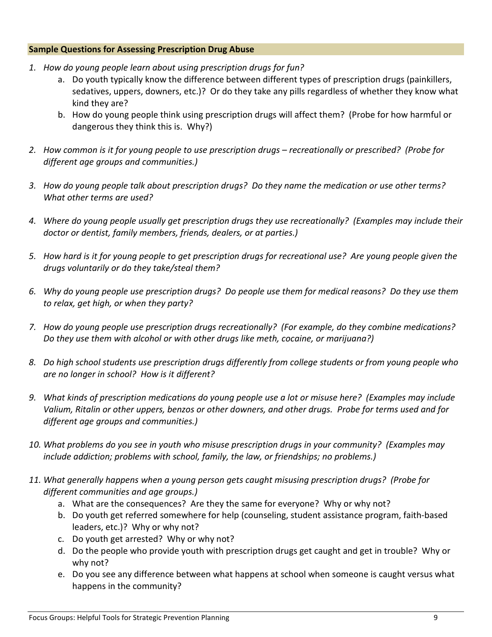#### **Sample Questions for Assessing Prescription Drug Abuse**

- *1. How do young people learn about using prescription drugs for fun?*
	- a. Do youth typically know the difference between different types of prescription drugs (painkillers, sedatives, uppers, downers, etc.)? Or do they take any pills regardless of whether they know what kind they are?
	- b. How do young people think using prescription drugs will affect them? (Probe for how harmful or dangerous they think this is. Why?)
- *2. How common is it for young people to use prescription drugs – recreationally or prescribed? (Probe for different age groups and communities.)*
- *3. How do young people talk about prescription drugs? Do they name the medication or use other terms? What other terms are used?*
- *4. Where do young people usually get prescription drugs they use recreationally? (Examples may include their doctor or dentist, family members, friends, dealers, or at parties.)*
- *5. How hard is it for young people to get prescription drugs for recreational use? Are young people given the drugs voluntarily or do they take/steal them?*
- *6. Why do young people use prescription drugs? Do people use them for medical reasons? Do they use them to relax, get high, or when they party?*
- *7. How do young people use prescription drugs recreationally? (For example, do they combine medications? Do they use them with alcohol or with other drugs like meth, cocaine, or marijuana?)*
- *8. Do high school students use prescription drugs differently from college students or from young people who are no longer in school? How is it different?*
- *9. What kinds of prescription medications do young people use a lot or misuse here? (Examples may include Valium, Ritalin or other uppers, benzos or other downers, and other drugs. Probe for terms used and for different age groups and communities.)*
- *10. What problems do you see in youth who misuse prescription drugs in your community? (Examples may include addiction; problems with school, family, the law, or friendships; no problems.)*
- *11. What generally happens when a young person gets caught misusing prescription drugs? (Probe for different communities and age groups.)*
	- a. What are the consequences? Are they the same for everyone? Why or why not?
	- b. Do youth get referred somewhere for help (counseling, student assistance program, faith-based leaders, etc.)? Why or why not?
	- c. Do youth get arrested? Why or why not?
	- d. Do the people who provide youth with prescription drugs get caught and get in trouble? Why or why not?
	- e. Do you see any difference between what happens at school when someone is caught versus what happens in the community?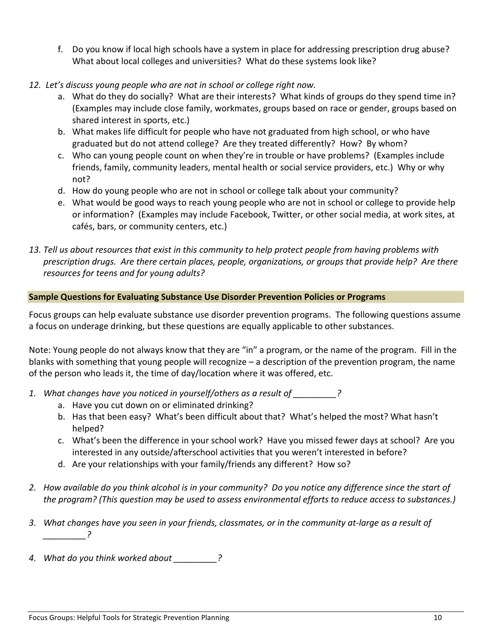- f. Do you know if local high schools have a system in place for addressing prescription drug abuse? What about local colleges and universities? What do these systems look like?
- *12. Let's discuss young people who are not in school or college right now.*
	- a. What do they do socially? What are their interests? What kinds of groups do they spend time in? (Examples may include close family, workmates, groups based on race or gender, groups based on shared interest in sports, etc.)
	- b. What makes life difficult for people who have not graduated from high school, or who have graduated but do not attend college? Are they treated differently? How? By whom?
	- c. Who can young people count on when they're in trouble or have problems? (Examples include friends, family, community leaders, mental health or social service providers, etc.) Why or why not?
	- d. How do young people who are not in school or college talk about your community?
	- e. What would be good ways to reach young people who are not in school or college to provide help or information? (Examples may include Facebook, Twitter, or other social media, at work sites, at cafés, bars, or community centers, etc.)
- *13. Tell us about resources that exist in this community to help protect people from having problems with prescription drugs. Are there certain places, people, organizations, or groups that provide help? Are there resources for teens and for young adults?*

#### **Sample Questions for Evaluating Substance Use Disorder Prevention Policies or Programs**

Focus groups can help evaluate substance use disorder prevention programs. The following questions assume a focus on underage drinking, but these questions are equally applicable to other substances.

Note: Young people do not always know that they are "in" a program, or the name of the program. Fill in the blanks with something that young people will recognize – a description of the prevention program, the name of the person who leads it, the time of day/location where it was offered, etc.

- *1. What changes have you noticed in yourself/others as a result of \_\_\_\_\_\_\_\_\_?*
	- a. Have you cut down on or eliminated drinking?
	- b. Has that been easy? What's been difficult about that? What's helped the most? What hasn't helped?
	- c. What's been the difference in your school work? Have you missed fewer days at school? Are you interested in any outside/afterschool activities that you weren't interested in before?
	- d. Are your relationships with your family/friends any different? How so?
- *2. How available do you think alcohol is in your community? Do you notice any difference since the start of the program? (This question may be used to assess environmental efforts to reduce access to substances.)*
- *3. What changes have you seen in your friends, classmates, or in the community at-large as a result of \_\_\_\_\_\_\_\_\_?*
- *4. What do you think worked about \_\_\_\_\_\_\_\_\_?*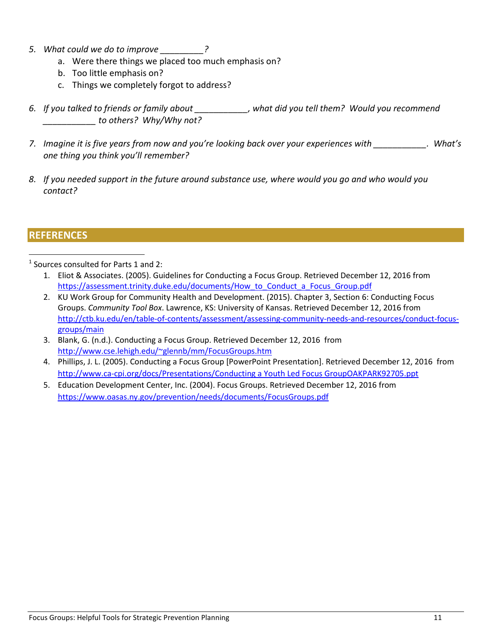- *5. What could we do to improve \_\_\_\_\_\_\_\_\_?*
	- a. Were there things we placed too much emphasis on?
	- b. Too little emphasis on?
	- c. Things we completely forgot to address?
- *6. If you talked to friends or family about \_\_\_\_\_\_\_\_\_\_\_, what did you tell them? Would you recommend \_\_\_\_\_\_\_\_\_\_\_ to others? Why/Why not?*
- *7. Imagine it is five years from now and you're looking back over your experiences with \_\_\_\_\_\_\_\_\_\_\_. What's one thing you think you'll remember?*
- *8. If you needed support in the future around substance use, where would you go and who would you contact?*

#### **REFERENCES**

 $1$  Sources consulted for Parts 1 and 2:

- 1. Eliot & Associates. (2005). Guidelines for Conducting a Focus Group. Retrieved December 12, 2016 from [https://assessment.trinity.duke.edu/documents/How\\_to\\_Conduct\\_a\\_Focus\\_Group.pdf](https://assessment.trinity.duke.edu/documents/How_to_Conduct_a_Focus_Group.pdf)
- 2. KU Work Group for Community Health and Development. (2015). Chapter 3, Section 6: Conducting Focus Groups. *Community Tool Box*. Lawrence, KS: University of Kansas. Retrieved December 12, 2016 from [http://ctb.ku.edu/en/table-of-contents/assessment/assessing-community-needs-and-resources/conduct-focus](http://ctb.ku.edu/en/table-of-contents/assessment/assessing-community-needs-and-resources/conduct-focus-groups/main)[groups/main](http://ctb.ku.edu/en/table-of-contents/assessment/assessing-community-needs-and-resources/conduct-focus-groups/main)
- 3. Blank, G. (n.d.). Conducting a Focus Group. Retrieved December 12, 2016 from [http://www.cse.lehigh.edu/~glennb/mm/FocusGroups.htm](http://www.cse.lehigh.edu/%7Eglennb/mm/FocusGroups.htm)
- 4. Phillips, J. L. (2005). Conducting a Focus Group [PowerPoint Presentation]. Retrieved December 12, 2016 from [http://www.ca-cpi.org/docs/Presentations/Conducting a Youth Led Focus GroupOAKPARK92705.ppt](http://www.ca-cpi.org/docs/Presentations/Conducting%20a%20Youth%20Led%20Focus%20GroupOAKPARK92705.ppt)
- 5. Education Development Center, Inc. (2004). Focus Groups. Retrieved December 12, 2016 from <https://www.oasas.ny.gov/prevention/needs/documents/FocusGroups.pdf>